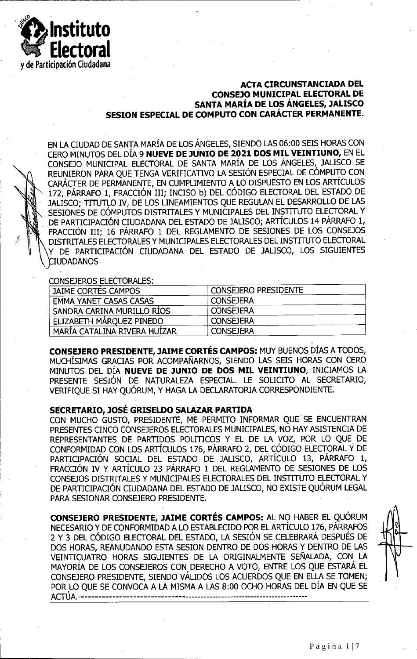

## **ACTA CIRCUNSTANCIADA DEL CONSEJO MUNICIPAL ELECTORAL DE SANTA MARIA DE LOS ANGELES, JALISCO SESION ESPECIAL DE COMPUTO CON CARACTER PERMANENTE.**



EN LA CIUDAD DE SANTA MARIA DE LOS ANGELES, SIENDO LAS 06:00 SEIS HORAS CON CERO MINUTOS DEL DIA 9 **NUEVE DE JUNIO DE 2021 DOS MIL VEINTIUNO,** EN EL CONSEJO MUNICIPAL ELECTORAL DE SANTA MARIA DE LOS ANGELES, JALISCO SE REUNIERON PARA QUE TENGA VERIFICATIVO LA SESION ESPECIAL DE COMPUTO CON CARACTER DE PERMANENTE, EN CUMPLIMIENTO A LO DISPUESTO EN LOS ARTICULOS 172, PÁRRAFO 1, FRACCIÓN III; INCISO b) DEL CÓDIGO ELECTORAL DEL ESTADO DE JALISCO; TTTUTLO IV, DE LOS LINEAMIENTOS QUE REGULAN EL DESARROLLO DE LAS SESIONES DE COMPUTOS DISTRITALES Y MUNICIPALES DEL INSTITUTO ELECTORAL Y DE PARTICIPACIÓN CIUDADANA DEL ESTADO DE JALISCO; ARTÍCULOS 14 PÁRRAFO 1, FRACCIÓN III; 16 PÁRRAFO 1 DEL REGLAMENTO DE SESIONES DE LOS CONSEJOS DISTRITALES ELECTORALES Y MUNICIPALES ELECTORALES DEL INSTITUTO ELECTORAL Y DE PARTICIPACIÓN CIUDADANA DEL ESTADO DE JALISCO, LOS SIGUIENTES CIUDADANOS

## CONSEJEROS ELECTORALES:

| ~~~~~~~~~~~~~~~~~~~~~~        |                             |  |
|-------------------------------|-----------------------------|--|
| JAIME CORTES CAMPOS           | <b>CONSEJERO PRESIDENTE</b> |  |
| <b>EMMA YANET CASAS CASAS</b> | <b>CONSEJERA</b>            |  |
| SANDRA CARINA MURILLO RIOS    | <b>CONSEJERA</b>            |  |
| ELIZABETH MÁRQUEZ PINEDO      | ' CONSEJERA                 |  |
| MARIA CATALINA RIVERA HUIZAR  | <b>CONSEJERA</b>            |  |

**CONSEJERO PRESIDENTS, JAIME CORTES CAMPOS:** MUY BUENOS DIAS A TODOS, MUCHISIMAS GRACIAS POR ACOMPANARNOS, SIENDO LAS SEIS HORAS CON CERO MINUTOS DEL DIA **NUEVE DE JUNIO DE DOS MIL VEINTIUNO,** INICIAMOS LA PRESENTE SESION DE NATURALEZA ESPECIAL. LE SOLICITO AL SECRETARIO, VERIFIQUE SI HAY QUÓRUM, Y HAGA LA DECLARATORIA CORRESPONDIENTE.

## **SECRETARIO, JOSE GRISELDO SALAZAR PARTIDA**

CON MUCHO GUSTO, PRESIDENTE, ME PERMITO INFORMAR QUE SE ENCUENTRAN PRESENTES CINCO CONSEJEROS ELECTORALES MUNICIPALES, NO HAY ASISTENCIA DE REPRESENTANTES DE PARTIDOS POLITICOS Y EL DE LA VOZ, POR LO QUE DE CONFORMIDAD CON LOS ARTICULOS 176, PARRAFO 2, DEL CODIGO ELECTORAL Y DE PARTICIPACION SOCIAL DEL ESTADO DE JALISCO, ARTICULO 13, PARRAFO 1, FRACCIÓN IV Y ARTÍCULO 23 PÁRRAFO 1 DEL REGLAMENTO DE SESIONES DE LOS CONSEJOS DISTRITALES Y MUNICIPALES ELECTORALES DEL INSTITUTO ELECTORAL Y DE PARTICIPACIÓN CIUDADANA DEL ESTADO DE JALISCO, NO EXISTE OUÓRUM LEGAL PARA SESIONAR CONSEJERO PRESIDENTE.

**CONSEJERO PRESIDENTE, JAIME CORTES CAMPOS:** AL NO HABER EL QUORUM NECESARIO Y DE CONFORMIDAD A LO ESTABLECIDO POR EL ARTÍCULO 176, PÁRRAFOS 2 Y 3 DEL CODIGO ELECTORAL DEL ESTADO, LA SESION SE CELEBRARA DESPUES DE DOS HORAS, REANUDANDO ESTA SESION DENTRO DE DOS HORAS Y DENTRO DE LAS VEINTTCUATRO HORAS SIGUIENTES DE LA ORIGINALMENTE SENALADA, CON LA MAYORIA DE LOS CONSBEROS CON DERECHO A VOTO, ENTRE LOS QUE ESTARA EL CONSEJERO PRESIDENTE, SIENDO VALIDOS LOS ACUERDOS QUE EN ELLA SE TOMEN; POR LO QUE SE CONVOCA A LA MISMA A LAS 8:00 OCHO HORAS DEL DÍA EN QUE SE ACTUA......................................................................................................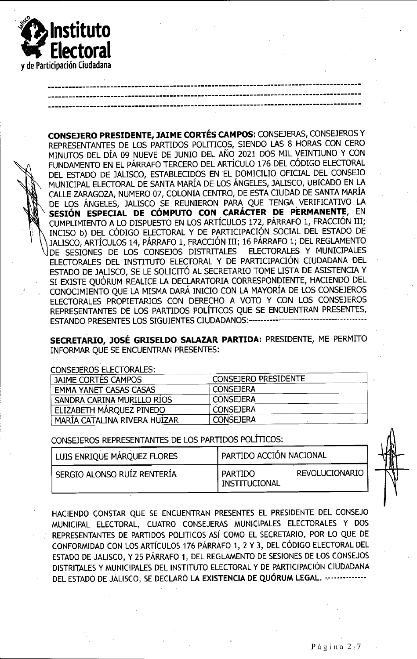

**CONSEJERO PRESIDENTE, JAIME CORTES CAMPOS:** CONSEJERAS, CONSEJEROS Y REPRESENTANTES DE LOS PARTIDOS POLITICOS, SIENDO LAS 8 HORAS CON CERO MINUTOS DEL DIA 09 NUEVE DE JUNIO DEL ANO 2021 DOS MIL VEINTIUNO Y CON FUNDAMENTO EN EL PÁRRAFO TERCERO DEL ARTÍCULO 176 DEL CÓDIGO ELECTORAL <sup>L</sup> DEL ESTADO DE JALISCO, ESTABLECIDOS EN EL DOMICILIO OFICIAL DEL CONSEJO |\ MUNICIPAL ELECTORAL DE SANTA MARIA DE LOS ANGELES, JALISCO, UBICADO EN LA | CALLE ZARAGOZA, NUMERO 07, COLONIA CENTRO, DE ESTA CIUDAD DE SANTA MARIA DE LOS ÁNGELES, JALISCO SE REUNIERON PARA QUE TENGA VERIFICATIVO LA IP **SESION ESPECIAL DE COMPUTO CON CARACTER DE PERMANENTE,** EN CUMPLIMIENTO a LO DISPUESTO EN LOS ARTICULOS 172, PARRAFO 1, FRACCION III; INCISO b) DEL CÓDIGO ELECTORAL Y DE PARTICIPACIÓN SOCIAL DEL ESTADO DE JALISCO, ARTÍCULOS 14, PÁRRAFO 1, FRACCIÓN III; 16 PÁRRAFO 1; DEL REGLAMENTO DE SESIONES DE LOS CONSEJOS DISTRITALES ELECTORALES Y MUNICIPALES ELECTORALES DEL INSTITUTO ELECTORAL Y DE PARTICIPACION CIUDADANA DEL ESTADO DE JALISCO, SE LE SOLICITO AL SECRETARIO TOME LISTA DE ASISTENCIA Y SI EXISTE QUÓRUM REALICE LA DECLARATORIA CORRESPONDIENTE, HACIENDO DEL CONOCIMIENTO QUE LA MISMA DARA INICIO CON LA MAYORIA DE LOS CONSEJEROS ELECTORALES PROPIETARIOS CON DERECHO A VOTO Y CON LOS CONSEJEROS REPRESENTANTES DE LOS PARTIDOS POLITICOS QUE SE ENCUENTRAN PRESENTES, ESTANDO PRESENTES LOS SIGUIENTES CIUDADANOS:--

**SECRETARIO, JOSE GRISELDO SALAZAR PARTIDA:** PRESIDENTE, ME PERMITO INFORMAR QUE SE ENCUENTRAN PRESENTES:

CONSEJEROS ELECTORALES:

| ~~~~~~~~~~~~~~~~~~~~~~        |                             |  |  |
|-------------------------------|-----------------------------|--|--|
| JAIME CORTES CAMPOS           | <b>CONSEJERO PRESIDENTE</b> |  |  |
| <b>EMMA YANET CASAS CASAS</b> | <b>CONSEJERA</b>            |  |  |
| SANDRA CARINA MURILLO RIOS    | <b>CONSEJERA</b>            |  |  |
| ELIZABETH MÁROUEZ PINEDO      | <b>CONSEJERA</b>            |  |  |
| MARIA CATALINA RIVERA HUIZAR  | <b>CONSEJERA</b>            |  |  |

CONSEJEROS REPRESENTANTES DE LOS PARTIDOS POLITICOS:

| LUIS ENRIQUE MÁRQUEZ FLORES   | PARTIDO ACCIÓN NACIONAL                             |  |  |
|-------------------------------|-----------------------------------------------------|--|--|
| ' SERGIO ALONSO RUÍZ RENTERÍA | <b>REVOLUCIONARIO</b><br>I PARTIDO<br>INSTITUCIONAL |  |  |

HACIENDO COMSTAR QUE SE ENCUENTRAN PRESENTES EL PRESIDENTE DEL CONSEJO MUNICIPAL ELECTORAL, CUATRO CONSEJERAS MUNICIPALES ELECTORALES Y DOS REPRESENTANTES DE PARTIDOS POLITICOS ASI COMO EL SECRETARIO, POR LO QUE DE CONFORMIDAD CON LOS ARTÍCULOS 176 PÁRRAFO 1, 2 Y 3, DEL CÓDIGO ELECTORAL DEL ESTADO DE JALISCO, Y 25 PÁRRAFO 1, DEL REGLAMENTO DE SESIONES DE LOS CONSEJOS DISTRITALES Y MUNICIPALES DEL INSTITUTO ELECTORAL Y DE PARTICIPACION CIUDADANA DEL ESTADO DE JÀLISCO, SE DECLARÓ LA EXISTENCIA DE QUÓRUM LEGAL. ...............

**\**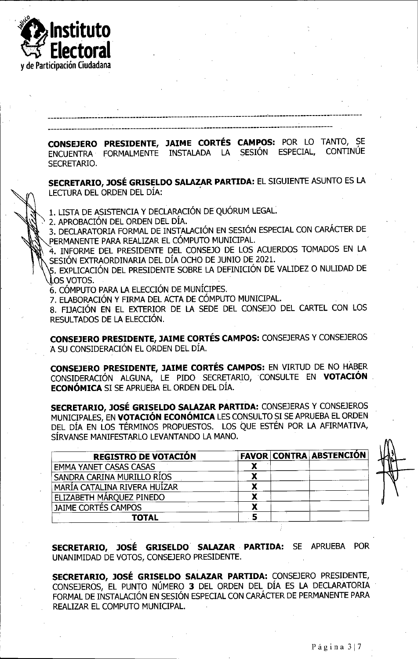

**CONSEJERO PRESIDENTE, JAIME CORTES CAMPOS:** POR LO TANTO, SE ENCUENTRA FORMALMENTE INSTALADA LA SESION ESPECIAL, CONTINUE SECRETARIO.

**SECRETARIO, JOSE GRISELDO SALAZAR PARTIDA:** EL SIGUIENTE ASUNTO ES LA LECTURA DEL ORDEN DEL DIA:

1. LISTA DE ASISTENCIA Y DECLARACIÓN DE QUÓRUM LEGAL.

> 2. APROBACION DEL ORDEN DEL DIA.

3. DECLARATORIA FORMAL DE INSTALACIÓN EN SESIÓN ESPECIAL CON CARÁCTER DE PERMANENTE PARA REALIZAR EL CÓMPUTO MUNICIPAL.

\ 4. INFORME DEL PRESIDENTE DEL CONSEJO DE LOS ACUERDOS TOMADOS EN LA SESIÓN EXTRAORDINARIA DEL DÍA OCHO DE JUNIO DE 2021.

5. EXPLICACIÓN DEL PRESIDENTE SOBRE LA DEFINICIÓN DE VALIDEZ O NULIDAD DE LOS VOTOS.

6. CÓMPUTO PARA LA ELECCIÓN DE MUNÍCIPES.

7. ELABORACION Y FIRMA DEL ACTA DE COMPUTO MUNICIPAL.

8. FIJACIÓN EN EL EXTERIOR DE LA SEDE DEL CONSEJO DEL CARTEL CON LOS RESULTADOS DE LA ELECCION.

**CONSEJERO PRESIDENTE, JAIME CORTES CAMPOS:** CONSEJERAS Y CONSEJEROS A SU CONSIDERACION EL ORDEN DEL DIA.

**CONSEJERO PRESIDENTE, JAIME CORTES CAMPOS:** EN VIRTUD DE NO HABER CONSIDERACION ALGUNA, LE PIDO SECRETARIO, CONSULTE EN **VOTACION ECONOMICA** SI SE APRUEBA EL ORDEN DEL DIA.

**SECRETARIO, JOSE GRISELDO SALAZAR PARTIDA:** CONSEJERAS Y CONSEJEROS MUNICIPALES, EN VOTACIÓN ECONÓMICA LES CONSULTO SI SE APRUEBA EL ORDEN DEL DÍA EN LOS TÉRMINOS PROPUESTOS. LOS QUE ESTÉN POR LA AFIRMATIVA, SIRVANSE MANIFESTARLO LEVANTANDO LA MANO.

| <b>REGISTRO DE VOTACIÓN</b>   |  | <b>FAVOR CONTRA ABSTENCIÓN</b> |
|-------------------------------|--|--------------------------------|
| <b>EMMA YANET CASAS CASAS</b> |  |                                |
| SANDRA CARINA MURILLO RÍOS    |  |                                |
| MARÍA CATALINA RIVERA HUÍZAR  |  |                                |
| ELIZABETH MÁROUEZ PINEDO      |  |                                |
| JAIME CORTÉS CAMPOS           |  |                                |
| <b>TOTAL</b>                  |  |                                |

**SECRETARIO, JOSE GRISELDO SALAZAR PARTIDA:** SE APRUEBA POR UNANIMIDAD DE VOTOS, CONSEJERO PRESIDENTE.

**SECRETARIO, JOSE GRISELDO SALAZAR PARTIDA:** CONSBERO PRESIDENTE, CONSEJEROS, EL PUNTO NÚMERO 3 DEL ORDEN DEL DÍA ES LA DECLARATORIA FORMAL DE INSTALACIÓN EN SESIÓN ESPECIAL CON CARÁCTER DE PERMANENTE PARA REALIZAR EL COMPUTO MUNICIPAL.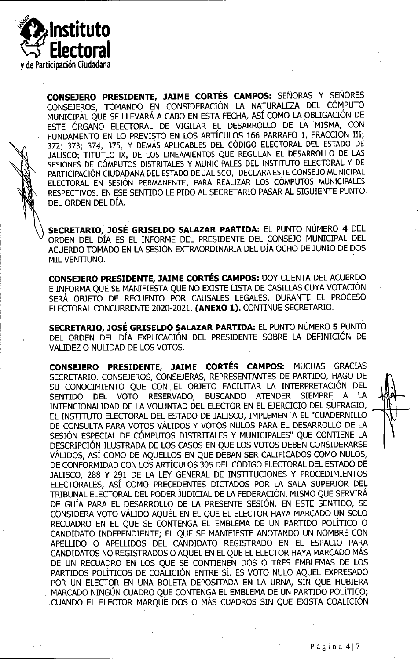

**CONSE3ERO PRESIDENTE, JAIME CORTES CAMPOS:** SENORAS Y SENORES CONSEJEROS, TOMANDO EN CONSIDERACION LA NATURALEZA DEL COMPUTO MUNICIPAL QUE SE LLEVARA A CABO EN ESTA FECHA, ASI COMO LA OBLIGACION DE ESTE ORGANO ELECTORAL DE VIGILAR EL DESARROLLO DE LA MISMA, CON FUNDAMENTO EN LO PREVISTO EN LOS ARTICULOS 166 PARRAFO 1, FRACCION III; 372; 373; 374, 375, Y DEMAS APLICABLES DEL CODIGO ELECTORAL DEL ESTADO DE JALISCO; TITUTLO IX, DE LOS LINEAMIENTOS QUE REGULAN EL DESARROLLO DE LAS SESIONES DE CÓMPUTOS DISTRITALES Y MUNICIPALES DEL INSTITUTO ELECTORAL Y DE PARTICIPACION CIUDADANA DEL ESTADO DE JALISCO, DECLARA ESTE CONSEJO MUNICIPAL ELECTORAL EN SESION PERMANENTE, PARA REALIZAR LOS COMPUTOS MUNICIPALES RESPECTIVOS. EN ESE SENTIDO LE FIDO AL SECRETARIO PASAR AL SIGUIENTE PUNTO DEL ORDEN DEL DIA.

**SECRETARIO, JOSE GRISELDO SALAZAR PARTIDA:** EL PUNTO NUMERO 4 DEL ORDEN DEL DIA ES EL INFORME DEL PRESIDENTE DEL CONSEJO MUNICIPAL DEL ACUERDO TOMADO EN LA SESIÓN EXTRAORDINARIA DEL DÍA OCHO DE JUNIO DE DOS MIL VENTIUNO.

**CONSEJERO PRESIDENTE, JAIME CORTES CAMPOS:** DOY CUENTA DEL ACUERDO E INFORMA QUE SE MANIFIESTA QUE NO EXISTE LISTA DE CASILLAS CUYA VOTACIÓN SERA OBJETO DE RECUENTO POR CAUSALES LEGALES, DURANTE EL PROCESO ELECTORAL CONCURRENTE 2020-2021. (ANEXO 1). CONTINUE SECRETARIO.

**SECRETARIO, JOSE GRISELDO SALAZAR PARTIDA:** EL PUNTO NUMERO 5 PUNTO DEL ORDEN DEL DÍA EXPLICACIÓN DEL PRESIDENTE SOBRE LA DEFINICIÓN DE VALIDEZ 0 NULIDAD DE LOS VOTOS.

**CONSEJERO PRESIDENTE, JAIME CORTES CAMPOS:** MUCHAS GRACIAS SECRETARIO. CONSEJEROS, CONSEJERAS, REPRESENTANTES DE PARTIDO, HAGO DE SU CONOCIMIENTO QUE CON EL OBJETO FACILITAR LA INTERPRETACIÓN DEL SENTIDO DEL VOTO RESERVADO, BUSCANDO ATENDER SIEMPRE A LA INTENCIONALIDAD DE LA VOLUNTAD DEL ELECTOR EN EL EJERCICIO DEL SUFRAGIO, EL INSTITUTO ELECTORAL DEL ESTADO DE JALISCO, IMPLEMENTA EL "CUADERNILLO DE CONSULTA PARA VOTOS VALIDOS Y VOTOS NULOS PARA EL DESARROLLO DE LA SESION ESPECIAL DE COMPUTOS DISTRITALES Y MUNICIPALES" QUE CONTIENE LA DESCRIPCIÓN ILUSTRADA DE LOS CASOS EN QUE LOS VOTOS DEBEN CONSIDERARSE VALIDOS, ASI COMO DE AQUELLOS EN QUE DEBAN SER CALIFICADOS COMO NULOS, DE CONFORMIDAD CON LOS ARTICULOS 305 DEL CODIGO ELECTORAL DEL ESTADO DE JALISCO, 288 Y 291 DE LA LEY GENERAL DE INSTITUCIONES Y PROCEDIMIENTOS ELECTORALES, ASI COMO PRECEDENTES DICTADOS POR LA SALA SUPERIOR DEL TRIBUNAL ELECTORAL DEL PODER JUDICIAL DE LA FEDERACION, MISMO QUE SERVIRA DE GUIA PARA EL DESARROLLO DE LA PRESENTE SESION. EN ESTE SENTIDO, SE CONSIDERA VOTO VALIDO AQUEL EN EL QUE EL ELECTOR HAYA MARCADO UN SOLO RECUADRO EN EL QUE SE CONTENGA EL EMBLEMA DE UN PARTIDO POLITICO 0 CANDIDATO INDEPENDIENTE; EL QUE SE MANIFIESTE ANOTANDO UN NOMBRE CON APELLIDO 0 APELLIDOS DEL CANDIDATO REGISTRADO EN EL ESPACIO PARA CANDIDATOS NO REGISTRADOS 0 AQUEL EN EL QUE EL ELECTOR HAYA MARCADO MAS DE UN RECUADRO EN LOS QUE SE CONTIENEN DOS O TRES EMBLEMAS DE LOS PARTIDOS POLÍTICOS DE COALICIÓN ENTRE SÍ. ES VOTO NULO AQUÉL EXPRESADO POR UN ELECTOR EN UNA BOLETA DEPOSTTADA EN LA URNA, SIN QUE HUBIERA MARCADO NINGÚN CUADRO QUE CONTENGA EL EMBLEMA DE UN PARTIDO POLÍTICO; CUANDO EL ELECTOR MARQUE DOS 0 MAS CUADROS SIN QUE EXISTA COALICION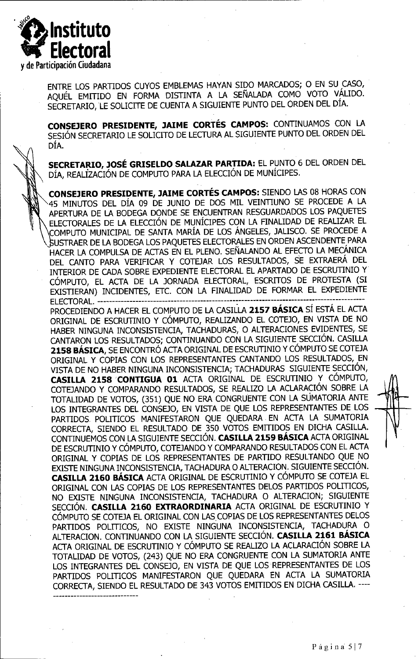

ENTRE LOS PARTIDOS CUYOS EMBLEMAS HAYAN SIDO MARCADOS; 0 EN SU CASO, AQUEL EMITIDO EN FORMA DISTINTA A LA SENALADA COMO VOTO VALIDO. SECRETARID, LE SOLIGTE DE CUENTA A SIGUIENTE PUNTO DEL ORDEN DEL DIA.

**CONSEJERO PRESIDENTE, JAIME CORTES CAMPOS:** CONTINUAMOS CON LA SESIÓN SECRETARIO LE SOLICITO DE LECTURA AL SIGUIENTE PUNTO DEL ORDEN DEL DIA.

**SECRETARIO, JOSE GRISELDO SALAZAR PARTIDA:** EL PUNTO 6 DEL ORDEN DEL DIA, REALIZACION DE COMPUTO PARA LA ELECCION DE MUNICIPES.

**CONSEJERO PRESIDENTE, JAIME CORTES CAMPOS:** SIENDO LAS 08 HORAS CON 45 MINUTOS DEL DIA 09 DE JUNIO DE DOS MIL VEINTIUNO SE PROCEDE A LA APERTURA DE LA BODEGA DONDE SE ENCUENTRAN RESGUARDADOS LOS PAQUETES ELECTORALES DE LA ELECCION DE MUNICIPES CON LA FINALIDAD DE REALIZAR EL \COMPUTO MUNICIPAL DE SANTA MARIA DE LOS ANGELES, JALISCO. SE PROCEDE A J5USTRAER DE LA BODEGA LOS PAQUETES ELECTORALES EN ORDEN ASCENDENTE PARA HACER LA COMPULSA DE ACTAS EN EL PLENO. SENALANDO AL EFECTO LA MECANICA DEL CANTO PARA VERIFICAR Y COTEJAR LOS RESULTADOS, SE EXTRAERA DEL INTERIOR DE CADA SOBRE EXPEDIENTE ELECTORAL EL APARTADO DE ESCRUTINIO Y CÓMPUTO, EL ACTA DE LA JORNADA ELECTORAL, ESCRITOS DE PROTESTA (SI EXISTIERAN) INCIDENTES, ETC. CON LA FINALIDAD DE FORMAR EL EXPEDIENTE ELECTORAL.-------------------------------------------------- ---------------------------—7--------------

PROCEDIENDO A HACER EL COMPUTO DE LA CASILLA **2157 BASICA** SI ESTA EL ACTA ORIGINAL DE ESCRUTINIO Y CÓMPUTO, REALIZANDO EL COTEJO, EN VISTA DE NO HABER NINGUNA INCONSISTENCIA, TACHADURAS, 0 ALTERACIONES EVIDENTES, SE CANTARON LOS RESULTADOS; CONTINUANDO CON LA SIGUIENTE SECCION. CASILLA **2158 BÁSICA, SE ENCONTRÓ ACTA ORIGINAL DE ESCRUTINIO Y CÓMPUTO SE COTEJA** ORIGINAL Y COPIAS CON LOS REPRESENTANTES CANTANDO LOS RESULTADOS, EN VISTA DE NO HABER NINGUNA INCONSISTENCIA; TACHADURAS SIGUIENTE SECCION, **CASILLA 2158 CONTIGUA 01** ACTA ORIGINAL DE ESCRUTINIO Y COMPUTO, COTEJANDO Y COMPARANDO RESULTADOS, SE REALIZO LA ACLARACIÓN SOBRE LA TOTALIDAD DE VOTOS, (351) QUE NO ERA CONGRUENTE CON LA SUMATORIA ANTE "I LOS INTEGRANTES DEL CONSEJO, EN VISTA DE QUE LOS REPRESENTANTES DE LOS PARTIDOS POLITICOS MANIFESTARON QUE QUEDARA EN ACTA LA SUMATORIA CORRECTA, SIENDO EL RESULTADO DE 350 VOTOS EMITIDOS EN DICHA CASILLA. CONTINUEMOS CON LA SIGUIENTE SECCION. **CASILLA 2159 BASICA** ACTA ORIGINAL DE ESCRUTINIO Y COMPUTO, COTEJANDO Y COMPARANDO RESULTADOS CON EL ACTA ORIGINAL Y COPIAS DE LOS REPRESENTANTES DE PARTIDO RESULTANDO QUE NO EXISTE NINGUNA INCONSISTENCIA, TACHADURA O ALTERACION. SIGUIENTE SECCIÓN. **CASILLA 2160 BASICA** ACTA ORIGINAL DE ESCRUTINIO Y COMPUTO SE COTBA EL ORIGINAL CON LAS COPIAS DE LOS REPRESENTANTES DELOS PARTIDOS POLITICOS, NO EXISTE NINGUNA INCONSISTENCIA, TACHADURA O ALTERACION; SIGUIENTÉ SECCION. **CASILLA 2160 EXTRAORDINARIA** ACTA ORIGINAL DE ESCRUTINIO Y CÓMPUTO SE COTEJA EL ORIGINAL CON LAS COPIAS DE LOS REPRESENTANTES DELOS PARTIDOS POLITICOS, NO EXISTE NINGUNA INCONSISTENCIA, TACHADURA 0 ALTERACION. CONTINUANDO CON LA SIGUIENTE SECCION. **CASILLA 2161 BASICA** ACTA ORIGINAL DE ESCRUTINIO Y COMPUTO SE REALIZO LA ACLARACION SOBRE LA TOTALIDAD DE VOTOS, (243) QUE NO ERA CONGRUENTE CON LA SUMATORIA ANTE LOS INTEGRANTES DEL CONSEJO, EN VISTA DE QUE LOS REPRESENTANTES DE LOS PARTIDOS POLITICOS MANIFESTARON QUE QUEDARA EN ACTA LA SUMATORIA CORRECTA, SIENDO EL RESULTADO DE <sup>343</sup> VOTOS EMITIDOS EN DICHA CASILLA. —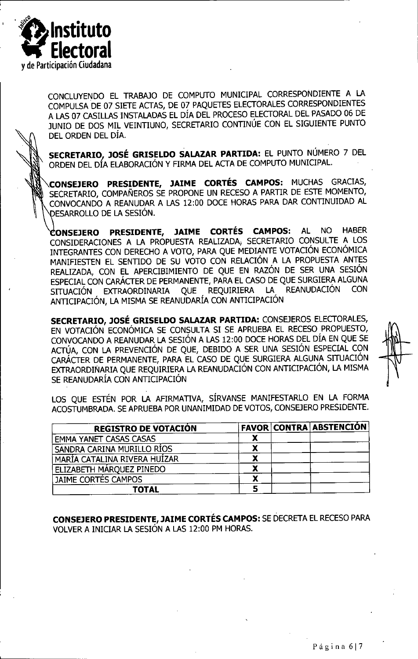

CONCLUYENDO EL TRABAJO DE COMPUTO MUNICIPAL CORRESPONDIENTE A LA COMPULSA DE 07 SIETE ACTAS, DE 07 PAQUETES ELECTORALES CORRESPONDIENTES A LAS 07 CASILLAS INSTALADAS EL DIA DEL PROCESO ELECTORAL DEL PASADO 06 DE JUNIO DE DOS MIL VEINTIUNO, SECRETARIO CONTINÚE CON EL SIGUIENTE PUNTO DEL ORDEN DEL DIA.

**SECRETARIO. JOSE GRISELDO SALAZAR PARTIDA:** EL PUNTO NUMERO 7 DEL ORDEN DEL DIA ELABORACION Y FIRMA DEL ACTA DE COMPUTO MUNICIPAL.

**.CONSEJERO PRESIDENTE, JAIME CORTES CAMPOS:** MUCHAS GRACIAS, SECRETARIO, COMPANEROS SE PROPONE UN RECESO A PARTIR DE ESTE MOMENTO, CONVOCANDO A REANUDAR A LAS 12:00 DOCE HORAS PARA DAR CONTINUIDAD AL OESARROLLO DE LA SESION.

**CONSEJERO PRESIDENTE, JAIME CORTES CAMPOS:** CONSIDERACIONES A LA PROPUESTA REALIZADA; SECRETARIO CONSULTE A LOS INTEGRANTES CON DERECHO A VOTO, PARA QUE MEDIANTE VOTACIÓN ECONÓMICA MANIFIESTEN EL SENTIDO DE SU VOTO CON RELACIÓN A LA PROPUESTA ANTES REALIZADA, CON EL APERCIBIMIENTO DE QUE EN RAZÓN DE SER UNA SESIÓN ESPECIAL CON CARÁCTER DE PERMANENTE, PARA EL CASO DE QUE SURGIERA ALGUNA<br>STILIACIÓN EXTRAQUIDIMADIA QUE REQUIRIERA LA REANUDACIÓN CON SITUACIÓN EXTRAORDINARIA QUE REQUIRIERA LA REANUDACIÓN CON ANTICIPACIÓN, LA MISMA SE REANUDARÍA CON ANTICIPACIÓN AL NO HABER

**SECRETARIO, JOSE GRISELDO SALAZAR PARTIDA:** CONSEJEROS ELECTORALES, EN VOTACIÓN ECONÓMICA SE CONSULTA SI SE APRUEBA EL RECESO PROPUESTO, CONVOCANDO A REANUDAR LA SESION A LAS 12:00 DOCE HORAS DEL DIA EN QUE SE ACTÚA, CON LA PREVENCIÓN DE QUE, DEBIDO A SER UNA SESIÓN ESPECIAL CON CARACTER DE PERMANENTE, PARA EL CASO DE QUE SURGIERA ALGUNA SITUACION EXTRAORDINARIA QUE REQUIRIERA LA REANUDACIÓN CON ANTICIPACIÓN, LA MISMA SE REANUDARIA CON ANTICIPACION

LOS QUE ESTÉN POR LA AFIRMATIVA, SÍRVANSE MANIFESTARLO EN LA FORMA ACOSTUMBRADA. SE APRUEBA POR UNANIMIDAD DE VOTOS, CONSEJERO PRESIDENTE.

| <b>REGISTRO DE VOTACION</b>   |   | <b>FAVOR CONTRA ABSTENCIÓN</b> |
|-------------------------------|---|--------------------------------|
| <b>EMMA YANET CASAS CASAS</b> |   |                                |
| SANDRA CARINA MURILLO RÍOS    |   |                                |
| MARÍA CATALINA RIVERA HUIZAR  |   |                                |
| ELIZABETH MÁROUEZ PINEDO      |   |                                |
| JAIME CORTÉS CAMPOS           | ́ |                                |
| TOTAL                         |   |                                |

**CONSEJERO PRESIDENTE, JAIME CORTES CAMPOS:** SE DECRETA EL RECESO PARA VOLVER A INICIAR LA SESIÓN A LAS 12:00 PM HORAS.